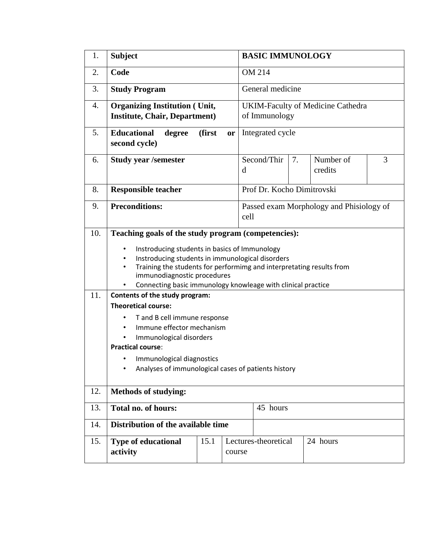| 1.  | <b>Subject</b>                                                                                                                                                                                                                                                                                                                                                                                                                                                                                 |        |        | <b>BASIC IMMUNOLOGY</b>                                   |    |                      |   |  |  |
|-----|------------------------------------------------------------------------------------------------------------------------------------------------------------------------------------------------------------------------------------------------------------------------------------------------------------------------------------------------------------------------------------------------------------------------------------------------------------------------------------------------|--------|--------|-----------------------------------------------------------|----|----------------------|---|--|--|
| 2.  | Code                                                                                                                                                                                                                                                                                                                                                                                                                                                                                           |        |        | <b>OM 214</b>                                             |    |                      |   |  |  |
| 3.  | <b>Study Program</b>                                                                                                                                                                                                                                                                                                                                                                                                                                                                           |        |        | General medicine                                          |    |                      |   |  |  |
| 4.  | <b>Organizing Institution (Unit,</b><br><b>Institute, Chair, Department)</b>                                                                                                                                                                                                                                                                                                                                                                                                                   |        |        | <b>UKIM-Faculty of Medicine Cathedra</b><br>of Immunology |    |                      |   |  |  |
| 5.  | <b>Educational</b><br>degree<br>second cycle)                                                                                                                                                                                                                                                                                                                                                                                                                                                  | (first | or     | Integrated cycle                                          |    |                      |   |  |  |
| 6.  | <b>Study year /semester</b>                                                                                                                                                                                                                                                                                                                                                                                                                                                                    |        | d      | Second/Thir                                               | 7. | Number of<br>credits | 3 |  |  |
| 8.  | <b>Responsible teacher</b>                                                                                                                                                                                                                                                                                                                                                                                                                                                                     |        |        | Prof Dr. Kocho Dimitrovski                                |    |                      |   |  |  |
| 9.  | <b>Preconditions:</b>                                                                                                                                                                                                                                                                                                                                                                                                                                                                          |        |        | Passed exam Morphology and Phisiology of<br>cell          |    |                      |   |  |  |
| 11. | Instroducing students in basics of Immunology<br>٠<br>Instroducing students in immunological disorders<br>Training the students for performimg and interpretating results from<br>immunodiagnostic procedures<br>Connecting basic immunology knowleage with clinical practice<br>Contents of the study program:<br><b>Theoretical course:</b><br>T and B cell immune response<br>Immune effector mechanism<br>Immunological disorders<br><b>Practical course:</b><br>Immunological diagnostics |        |        |                                                           |    |                      |   |  |  |
|     | Analyses of immunological cases of patients history<br>$\bullet$                                                                                                                                                                                                                                                                                                                                                                                                                               |        |        |                                                           |    |                      |   |  |  |
| 12. | <b>Methods of studying:</b>                                                                                                                                                                                                                                                                                                                                                                                                                                                                    |        |        |                                                           |    |                      |   |  |  |
| 13. | Total no. of hours:                                                                                                                                                                                                                                                                                                                                                                                                                                                                            |        |        | 45 hours                                                  |    |                      |   |  |  |
| 14. | Distribution of the available time                                                                                                                                                                                                                                                                                                                                                                                                                                                             |        |        |                                                           |    |                      |   |  |  |
| 15. | <b>Type of educational</b><br>activity                                                                                                                                                                                                                                                                                                                                                                                                                                                         | 15.1   | course | Lectures-theoretical                                      |    | 24 hours             |   |  |  |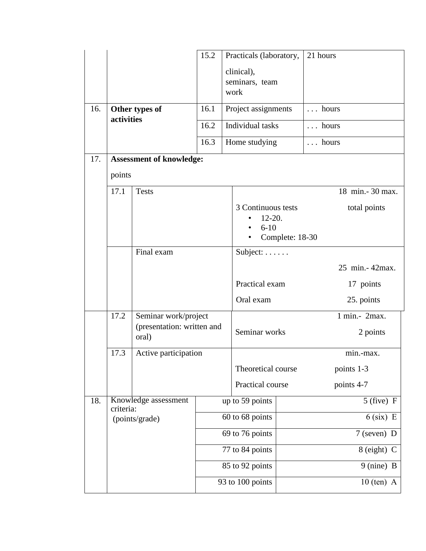|     |                                                     |                                     | 15.2             | Practicals (laboratory,                                                       | 21 hours          |  |
|-----|-----------------------------------------------------|-------------------------------------|------------------|-------------------------------------------------------------------------------|-------------------|--|
|     |                                                     |                                     |                  | clinical),<br>seminars, team<br>work                                          |                   |  |
| 16. | Other types of<br>activities                        |                                     | 16.1             | Project assignments                                                           | hours             |  |
|     |                                                     |                                     | 16.2             | Individual tasks                                                              | $\ldots$ hours    |  |
|     |                                                     |                                     | 16.3             | Home studying                                                                 | $\ldots$ hours    |  |
| 17. |                                                     | <b>Assessment of knowledge:</b>     |                  |                                                                               |                   |  |
|     | points                                              |                                     |                  |                                                                               |                   |  |
|     | 17.1                                                | <b>Tests</b>                        |                  |                                                                               | 18 min. - 30 max. |  |
|     |                                                     |                                     |                  | 3 Continuous tests<br>total points<br>$12 - 20.$<br>$6-10$<br>Complete: 18-30 |                   |  |
|     | Final exam                                          |                                     |                  | Subject:                                                                      |                   |  |
|     |                                                     |                                     |                  |                                                                               | 25 min. - 42max.  |  |
|     |                                                     |                                     |                  | Practical exam                                                                | 17 points         |  |
|     |                                                     |                                     |                  | Oral exam                                                                     | 25. points        |  |
|     | 17.2<br>Seminar work/project                        |                                     |                  |                                                                               | 1 min.- 2max.     |  |
|     |                                                     | (presentation: written and<br>oral) |                  | Seminar works                                                                 | 2 points          |  |
|     | 17.3                                                | Active participation                |                  |                                                                               | min.-max.         |  |
|     |                                                     |                                     |                  | Theoretical course                                                            | points 1-3        |  |
|     |                                                     |                                     |                  | Practical course                                                              | points 4-7        |  |
| 18. | Knowledge assessment<br>criteria:<br>(points/grade) |                                     |                  | up to 59 points                                                               | $5$ (five) F      |  |
|     |                                                     |                                     | 60 to 68 points  |                                                                               | $6$ (six) E       |  |
|     |                                                     |                                     | 69 to 76 points  |                                                                               | 7 (seven) D       |  |
|     |                                                     |                                     | 77 to 84 points  |                                                                               | 8 (eight) C       |  |
|     |                                                     |                                     | 85 to 92 points  |                                                                               | 9 (nine) B        |  |
|     |                                                     |                                     | 93 to 100 points |                                                                               | $10$ (ten) A      |  |